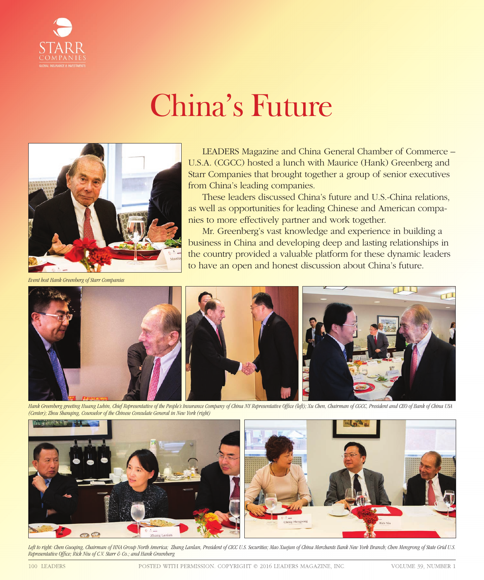

## China's Future



*Event host Hank Greenberg of Starr Companies* 

LEADERS Magazine and China General Chamber of Commerce – U.S.A. (CGCC) hosted a lunch with Maurice (Hank) Greenberg and Starr Companies that brought together a group of senior executives from China's leading companies.

These leaders discussed China's future and U.S.-China relations, as well as opportunities for leading Chinese and American companies to more effectively partner and work together.

Mr. Greenberg's vast knowledge and experience in building a business in China and developing deep and lasting relationships in the country provided a valuable platform for these dynamic leaders to have an open and honest discussion about China's future.



Hank Greenberg greeting Huang Lubin, Chief Representative of the People's Insurance Company of China NY Representative Office (left); Xu Chen, Chairman of CGCC, President and CEO of Bank of China USA *(Center); Zhou Shanqing, Counselor of the Chinese Consulate General in New York (right)*



*Left to right: Chen Guoqing, Chairman of HNA Group North America; Zhang Lanlan, President of CICC U.S. Securities; Mao Xuejun of China Merchants Bank New York Branch; Chen Mengrong of State Grid U.S. Representative Office; Rick Niu of C.V. Starr & Co.; and Hank Greenberg*